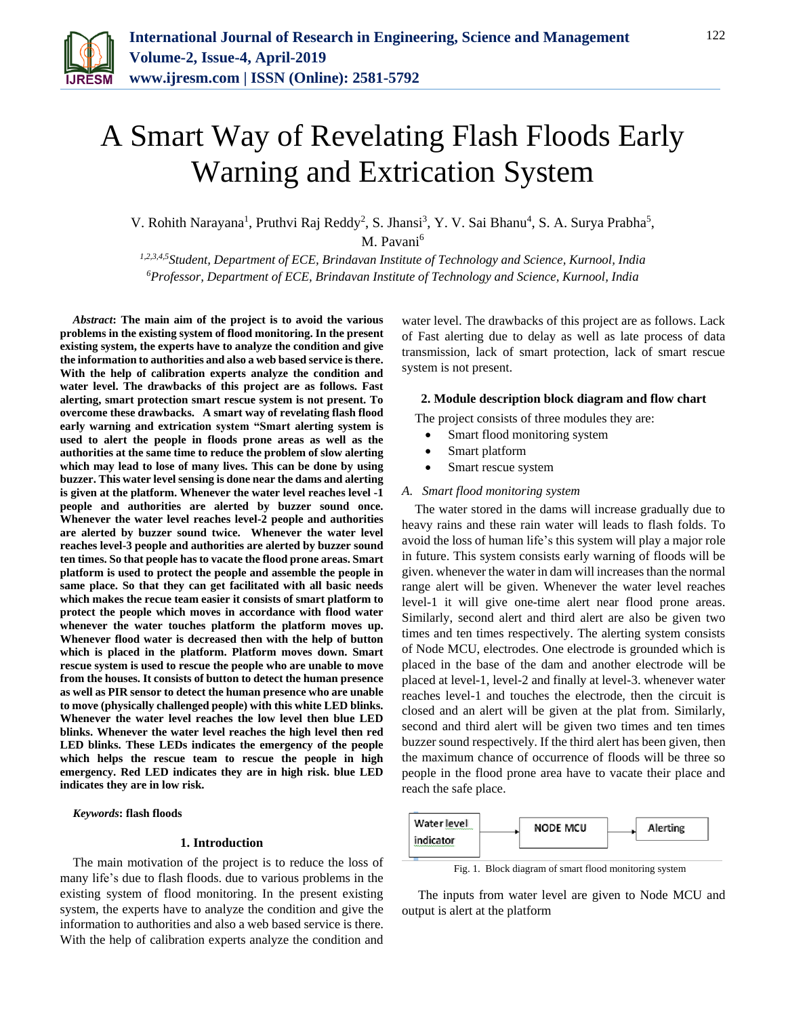

# A Smart Way of Revelating Flash Floods Early Warning and Extrication System

V. Rohith Narayana<sup>1</sup>, Pruthvi Raj Reddy<sup>2</sup>, S. Jhansi<sup>3</sup>, Y. V. Sai Bhanu<sup>4</sup>, S. A. Surya Prabha<sup>5</sup>, M. Pavani<sup>6</sup>

*1,2,3,4,5Student, Department of ECE, Brindavan Institute of Technology and Science, Kurnool, India <sup>6</sup>Professor, Department of ECE, Brindavan Institute of Technology and Science, Kurnool, India*

*Abstract***: The main aim of the project is to avoid the various problems in the existing system of flood monitoring. In the present existing system, the experts have to analyze the condition and give the information to authorities and also a web based service is there. With the help of calibration experts analyze the condition and water level. The drawbacks of this project are as follows. Fast alerting, smart protection smart rescue system is not present. To overcome these drawbacks. A smart way of revelating flash flood early warning and extrication system "Smart alerting system is used to alert the people in floods prone areas as well as the authorities at the same time to reduce the problem of slow alerting which may lead to lose of many lives. This can be done by using buzzer. This water level sensing is done near the dams and alerting is given at the platform. Whenever the water level reaches level -1 people and authorities are alerted by buzzer sound once. Whenever the water level reaches level-2 people and authorities are alerted by buzzer sound twice. Whenever the water level reaches level-3 people and authorities are alerted by buzzer sound ten times. So that people has to vacate the flood prone areas. Smart platform is used to protect the people and assemble the people in same place. So that they can get facilitated with all basic needs which makes the recue team easier it consists of smart platform to protect the people which moves in accordance with flood water whenever the water touches platform the platform moves up. Whenever flood water is decreased then with the help of button which is placed in the platform. Platform moves down. Smart rescue system is used to rescue the people who are unable to move from the houses. It consists of button to detect the human presence as well as PIR sensor to detect the human presence who are unable to move (physically challenged people) with this white LED blinks. Whenever the water level reaches the low level then blue LED blinks. Whenever the water level reaches the high level then red LED blinks. These LEDs indicates the emergency of the people which helps the rescue team to rescue the people in high emergency. Red LED indicates they are in high risk. blue LED indicates they are in low risk.**

*Keywords***: flash floods**

## **1. Introduction**

The main motivation of the project is to reduce the loss of many life's due to flash floods. due to various problems in the existing system of flood monitoring. In the present existing system, the experts have to analyze the condition and give the information to authorities and also a web based service is there. With the help of calibration experts analyze the condition and

water level. The drawbacks of this project are as follows. Lack of Fast alerting due to delay as well as late process of data transmission, lack of smart protection, lack of smart rescue system is not present.

#### **2. Module description block diagram and flow chart**

The project consists of three modules they are:

- Smart flood monitoring system
- Smart platform
- Smart rescue system

## *A. Smart flood monitoring system*

The water stored in the dams will increase gradually due to heavy rains and these rain water will leads to flash folds. To avoid the loss of human life's this system will play a major role in future. This system consists early warning of floods will be given. whenever the water in dam will increases than the normal range alert will be given. Whenever the water level reaches level-1 it will give one-time alert near flood prone areas. Similarly, second alert and third alert are also be given two times and ten times respectively. The alerting system consists of Node MCU, electrodes. One electrode is grounded which is placed in the base of the dam and another electrode will be placed at level-1, level-2 and finally at level-3. whenever water reaches level-1 and touches the electrode, then the circuit is closed and an alert will be given at the plat from. Similarly, second and third alert will be given two times and ten times buzzer sound respectively. If the third alert has been given, then the maximum chance of occurrence of floods will be three so people in the flood prone area have to vacate their place and reach the safe place.



Fig. 1. Block diagram of smart flood monitoring system

The inputs from water level are given to Node MCU and output is alert at the platform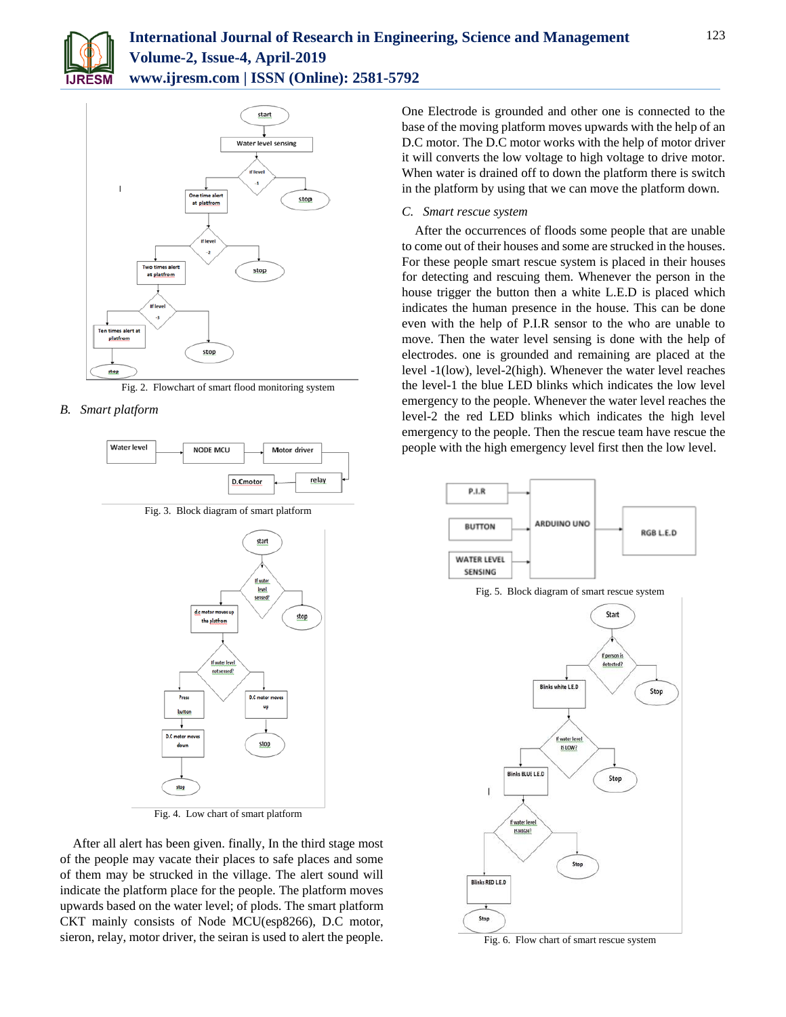



Fig. 2. Flowchart of smart flood monitoring system

# *B. Smart platform*



Fig. 3. Block diagram of smart platform



Fig. 4. Low chart of smart platform

After all alert has been given. finally, In the third stage most of the people may vacate their places to safe places and some of them may be strucked in the village. The alert sound will indicate the platform place for the people. The platform moves upwards based on the water level; of plods. The smart platform CKT mainly consists of Node MCU(esp8266), D.C motor, sieron, relay, motor driver, the seiran is used to alert the people.

One Electrode is grounded and other one is connected to the base of the moving platform moves upwards with the help of an D.C motor. The D.C motor works with the help of motor driver it will converts the low voltage to high voltage to drive motor. When water is drained off to down the platform there is switch in the platform by using that we can move the platform down.

### *C. Smart rescue system*

After the occurrences of floods some people that are unable to come out of their houses and some are strucked in the houses. For these people smart rescue system is placed in their houses for detecting and rescuing them. Whenever the person in the house trigger the button then a white L.E.D is placed which indicates the human presence in the house. This can be done even with the help of P.I.R sensor to the who are unable to move. Then the water level sensing is done with the help of electrodes. one is grounded and remaining are placed at the level -1(low), level-2(high). Whenever the water level reaches the level-1 the blue LED blinks which indicates the low level emergency to the people. Whenever the water level reaches the level-2 the red LED blinks which indicates the high level emergency to the people. Then the rescue team have rescue the people with the high emergency level first then the low level.



Fig. 5. Block diagram of smart rescue system